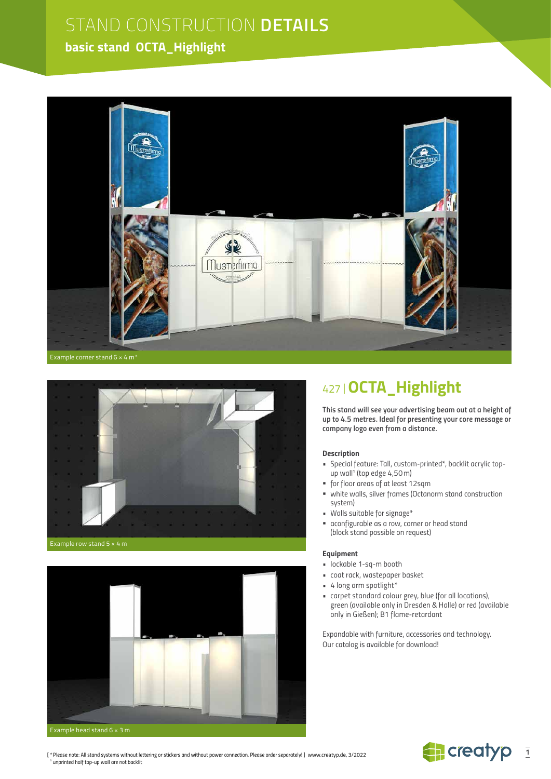### **basic stand OCTA\_Highlight**





#### Example row stand 5 × 4 m



## 427 |**OCTA\_Highlight**

*This stand will see your advertising beam out at a height of up to 4.5 metres. Ideal for presenting your core message or company logo even from a distance.*

#### *Description*

- *Special feature: Tall, custom-printed\*, backlit acrylic topup wall***<sup>1</sup>**  *(top edge 4,50m)*
- *for floor areas of at least 12sqm*
- *white walls, silver frames (Octanorm stand construction system)*
- *Walls suitable for signage\**
- *aconfigurable as a row, corner or head stand (block stand possible on request)*

#### *Equipment*

- *lockable 1-sq-m booth*
- *coat rack, wastepaper basket*
- *• 4 long arm spotlight\**
- *carpet standard colour grey, blue (for all locations), green (available only in Dresden & Halle) or red (available only in Gießen); B1 flame-retardant*

*Expandable with furniture, accessories and technology. Our catalog is available for download!*



*[ \*Please note: All stand systems without lettering or stickers and without power connection. Please order separately! ]* www.creatyp.de, 3/2022 **1**  *unprinted half top-up wall are not backlit*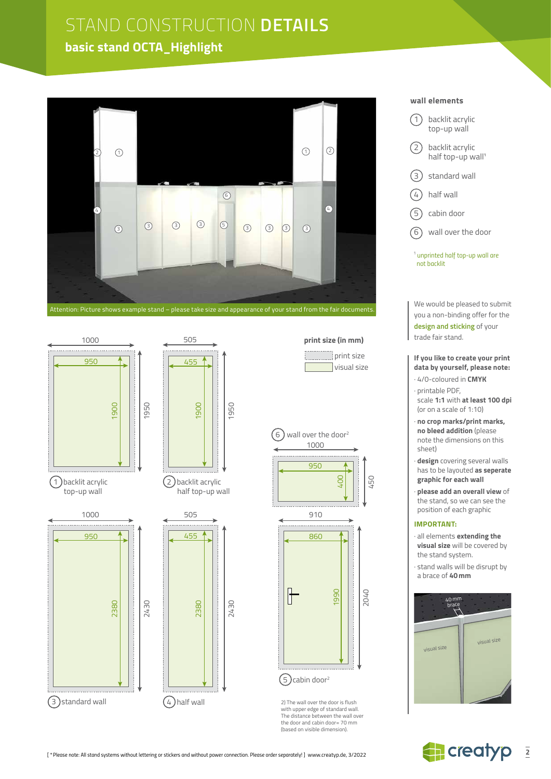### **basic stand OCTA\_Highlight**







2430



 print size **Visual size** 





2) The wall over the door is flush with upper edge of standard wall. The distance between the wall over the door and cabin door= 70 mm (based on visible dimension).

#### **wall elements**

- (1) backlit acrylic top-up wall
- (2) backlit acrylic half top-up wall<sup>1</sup>
- 3 standard wall
- $(4)$  half wall
- 5 cabin door
- 6 wall over the door

<sup>1</sup> *unprinted half top-up wall are not backlit*

We would be pleased to submit you a non-binding offer for the **design and sticking** of your trade fair stand.

#### **If you like to create your print data by yourself, please note:**

- · 4/0-coloured in **CMYK**
- · printable PDF, scale **1:1** with **at least 100 dpi** (or on a scale of 1:10)
- · **no crop marks/print marks, no bleed addition** (please note the dimensions on this sheet)
- · **design** covering several walls has to be layouted **as seperate graphic for each wall**
- · **please add an overall view** of the stand, so we can see the position of each graphic

#### **IMPORTANT:**

- · all elements **extending the visual size** will be covered by the stand system.
- · stand walls will be disrupt by a brace of **40mm**



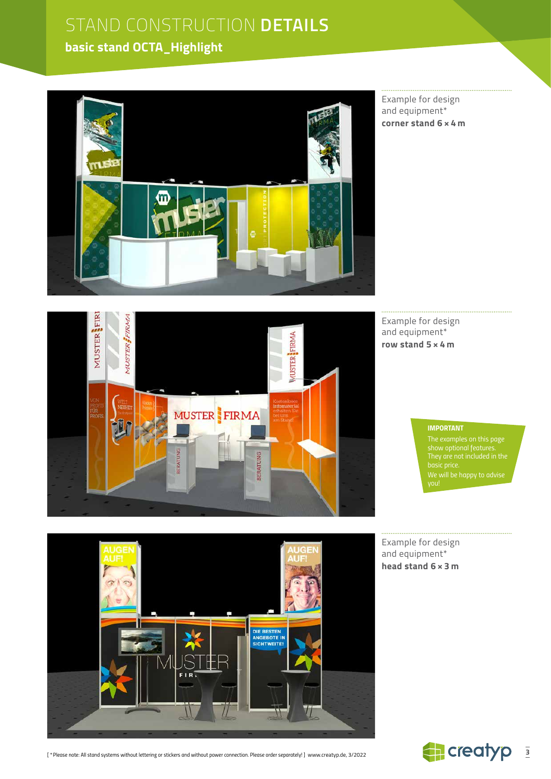### **basic stand OCTA\_Highlight**



Example for design and equipment\* **corner stand 6 × 4 m**



Example for design and equipment\* **row stand 5 × 4 m**

#### *IMPORTANT*

*The examples on this page show optional features. We will be happy to advise* 

DIE BESTEN<br>ANGEBOTE IN<br>SICHTWEITE!

*[ \*Please note: All stand systems without lettering or stickers and without power connection. Please order separately! ]* www.creatyp.de, 3/2022

Example for design and equipment\* **head stand 6 × 3 m**